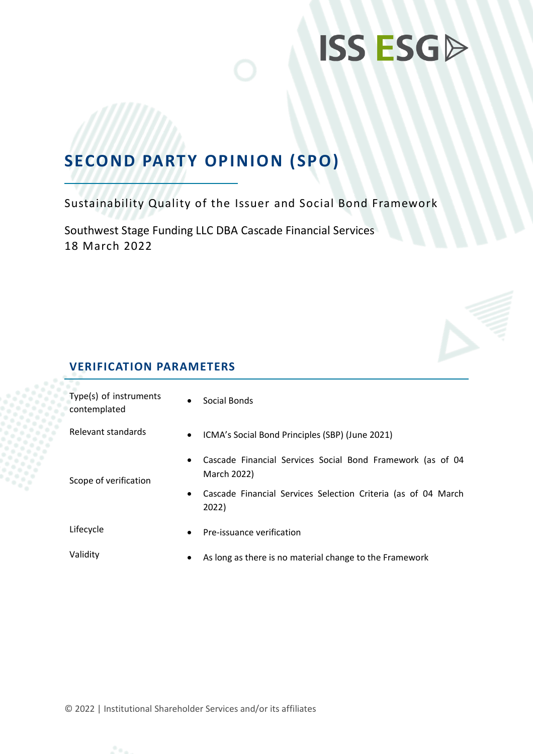## **SECOND PARTY OPINION (SPO)**

Sustainability Quality of the Issuer and Social Bond Framework

Southwest Stage Funding LLC DBA Cascade Financial Services 18 March 2022



| Type(s) of instruments<br>contemplated | $\bullet$ | Social Bonds                                                              |  |
|----------------------------------------|-----------|---------------------------------------------------------------------------|--|
| Relevant standards                     | $\bullet$ | ICMA's Social Bond Principles (SBP) (June 2021)                           |  |
| Scope of verification                  | $\bullet$ | Cascade Financial Services Social Bond Framework (as of 04<br>March 2022) |  |
|                                        | ٠         | Cascade Financial Services Selection Criteria (as of 04 March<br>2022)    |  |
| Lifecycle                              | $\bullet$ | Pre-issuance verification                                                 |  |
| Validity                               | ٠         | As long as there is no material change to the Framework                   |  |

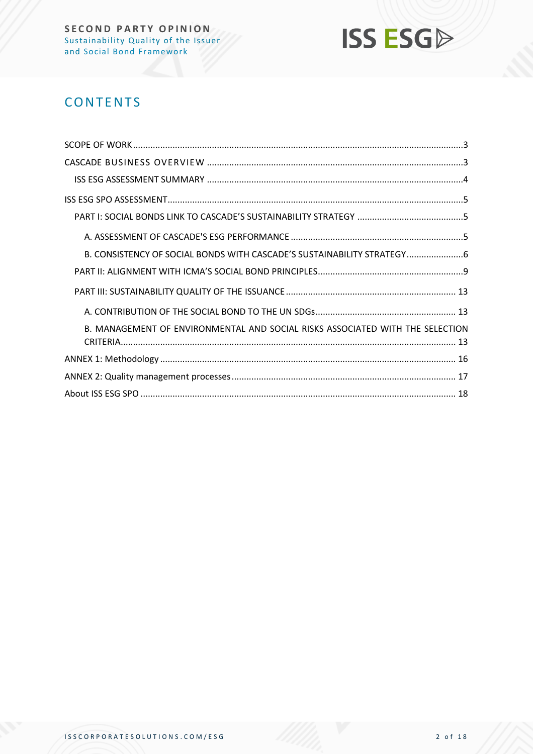

## **CONTENTS**

| B. CONSISTENCY OF SOCIAL BONDS WITH CASCADE'S SUSTAINABILITY STRATEGY6        |
|-------------------------------------------------------------------------------|
|                                                                               |
|                                                                               |
|                                                                               |
| B. MANAGEMENT OF ENVIRONMENTAL AND SOCIAL RISKS ASSOCIATED WITH THE SELECTION |
|                                                                               |
|                                                                               |
|                                                                               |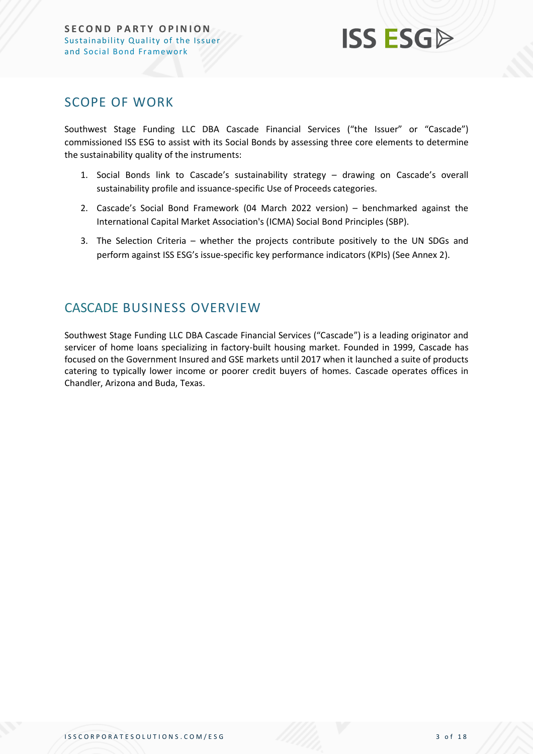

### <span id="page-2-0"></span>SCOPE OF WORK

Southwest Stage Funding LLC DBA Cascade Financial Services ("the Issuer" or "Cascade") commissioned ISS ESG to assist with its Social Bonds by assessing three core elements to determine the sustainability quality of the instruments:

- 1. Social Bonds link to Cascade's sustainability strategy drawing on Cascade's overall sustainability profile and issuance-specific Use of Proceeds categories.
- 2. Cascade's Social Bond Framework (04 March 2022 version) benchmarked against the International Capital Market Association's (ICMA) Social Bond Principles (SBP).
- 3. The Selection Criteria whether the projects contribute positively to the UN SDGs and perform against ISS ESG's issue-specific key performance indicators (KPIs) (See Annex 2).

## <span id="page-2-1"></span>CASCADE BUSINESS OVERVIEW

Southwest Stage Funding LLC DBA Cascade Financial Services ("Cascade") is a leading originator and servicer of home loans specializing in factory-built housing market. Founded in 1999, Cascade has focused on the Government Insured and GSE markets until 2017 when it launched a suite of products catering to typically lower income or poorer credit buyers of homes. Cascade operates offices in Chandler, Arizona and Buda, Texas.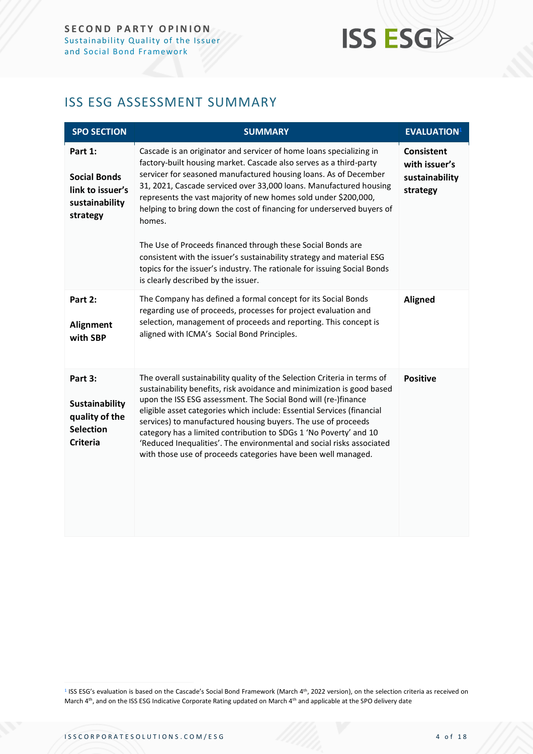## <span id="page-3-0"></span>ISS ESG ASSESSMENT SUMMARY

| <b>SPO SECTION</b>                                                                        | <b>SUMMARY</b>                                                                                                                                                                                                                                                                                                                                                                                                                                                                                                                                                                                                                                                                                       | <b>EVALUATION</b> <sup>1</sup>                                   |
|-------------------------------------------------------------------------------------------|------------------------------------------------------------------------------------------------------------------------------------------------------------------------------------------------------------------------------------------------------------------------------------------------------------------------------------------------------------------------------------------------------------------------------------------------------------------------------------------------------------------------------------------------------------------------------------------------------------------------------------------------------------------------------------------------------|------------------------------------------------------------------|
| Part 1:<br><b>Social Bonds</b><br>link to issuer's<br>sustainability<br>strategy          | Cascade is an originator and servicer of home loans specializing in<br>factory-built housing market. Cascade also serves as a third-party<br>servicer for seasoned manufactured housing loans. As of December<br>31, 2021, Cascade serviced over 33,000 loans. Manufactured housing<br>represents the vast majority of new homes sold under \$200,000,<br>helping to bring down the cost of financing for underserved buyers of<br>homes.<br>The Use of Proceeds financed through these Social Bonds are<br>consistent with the issuer's sustainability strategy and material ESG<br>topics for the issuer's industry. The rationale for issuing Social Bonds<br>is clearly described by the issuer. | <b>Consistent</b><br>with issuer's<br>sustainability<br>strategy |
| Part 2:<br><b>Alignment</b><br>with SBP                                                   | The Company has defined a formal concept for its Social Bonds<br>regarding use of proceeds, processes for project evaluation and<br>selection, management of proceeds and reporting. This concept is<br>aligned with ICMA's Social Bond Principles.                                                                                                                                                                                                                                                                                                                                                                                                                                                  | <b>Aligned</b>                                                   |
| Part 3:<br><b>Sustainability</b><br>quality of the<br><b>Selection</b><br><b>Criteria</b> | The overall sustainability quality of the Selection Criteria in terms of<br>sustainability benefits, risk avoidance and minimization is good based<br>upon the ISS ESG assessment. The Social Bond will (re-)finance<br>eligible asset categories which include: Essential Services (financial<br>services) to manufactured housing buyers. The use of proceeds<br>category has a limited contribution to SDGs 1 'No Poverty' and 10<br>'Reduced Inequalities'. The environmental and social risks associated<br>with those use of proceeds categories have been well managed.                                                                                                                       | <b>Positive</b>                                                  |

<sup>&</sup>lt;sup>1</sup> ISS ESG's evaluation is based on the Cascade's Social Bond Framework (March 4<sup>th</sup>, 2022 version), on the selection criteria as received on March 4<sup>th</sup>, and on the ISS ESG Indicative Corporate Rating updated on March 4<sup>th</sup> and applicable at the SPO delivery date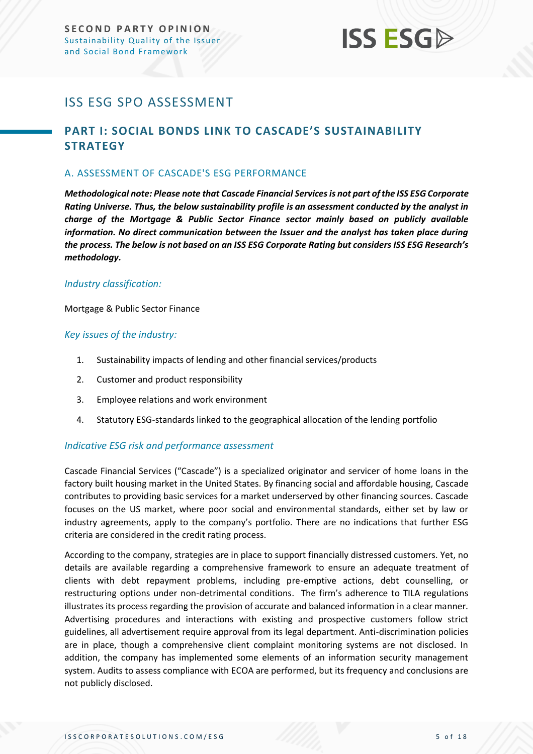## <span id="page-4-0"></span>ISS ESG SPO ASSESSMENT

### <span id="page-4-1"></span>**PART I: SOCIAL BONDS LINK TO CASCADE'S SUSTAINABILITY STRATEGY**

#### <span id="page-4-2"></span>A. ASSESSMENT OF CASCADE'S ESG PERFORMANCE

*Methodological note: Please note that Cascade Financial Services is not part of the ISS ESG Corporate Rating Universe. Thus, the below sustainability profile is an assessment conducted by the analyst in charge of the Mortgage & Public Sector Finance sector mainly based on publicly available information. No direct communication between the Issuer and the analyst has taken place during the process. The below is not based on an ISS ESG Corporate Rating but considers ISS ESG Research's methodology.*

#### *Industry classification:*

Mortgage & Public Sector Finance

#### *Key issues of the industry:*

- 1. Sustainability impacts of lending and other financial services/products
- 2. Customer and product responsibility
- 3. Employee relations and work environment
- 4. Statutory ESG-standards linked to the geographical allocation of the lending portfolio

#### *Indicative ESG risk and performance assessment*

Cascade Financial Services ("Cascade") is a specialized originator and servicer of home loans in the factory built housing market in the United States. By financing social and affordable housing, Cascade contributes to providing basic services for a market underserved by other financing sources. Cascade focuses on the US market, where poor social and environmental standards, either set by law or industry agreements, apply to the company's portfolio. There are no indications that further ESG criteria are considered in the credit rating process.

According to the company, strategies are in place to support financially distressed customers. Yet, no details are available regarding a comprehensive framework to ensure an adequate treatment of clients with debt repayment problems, including pre-emptive actions, debt counselling, or restructuring options under non-detrimental conditions. The firm's adherence to TILA regulations illustrates its process regarding the provision of accurate and balanced information in a clear manner. Advertising procedures and interactions with existing and prospective customers follow strict guidelines, all advertisement require approval from its legal department. Anti-discrimination policies are in place, though a comprehensive client complaint monitoring systems are not disclosed. In addition, the company has implemented some elements of an information security management system. Audits to assess compliance with ECOA are performed, but its frequency and conclusions are not publicly disclosed.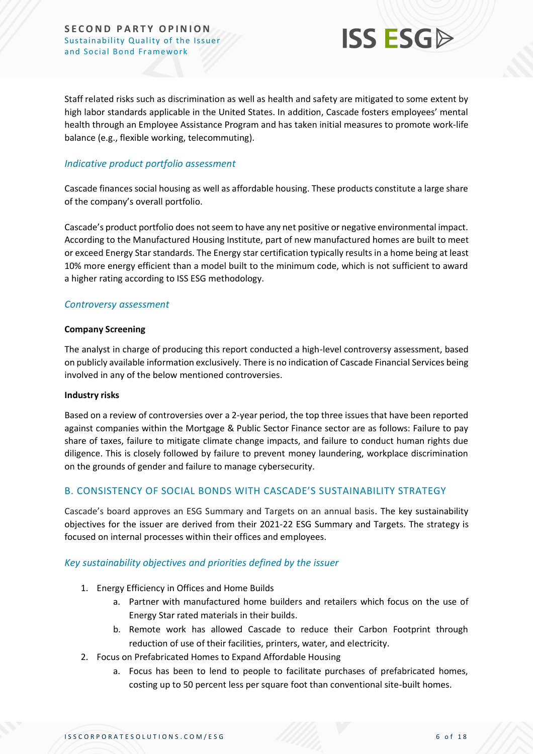

Staff related risks such as discrimination as well as health and safety are mitigated to some extent by high labor standards applicable in the United States. In addition, Cascade fosters employees' mental health through an Employee Assistance Program and has taken initial measures to promote work-life balance (e.g., flexible working, telecommuting).

#### *Indicative product portfolio assessment*

Cascade finances social housing as well as affordable housing. These products constitute a large share of the company's overall portfolio.

Cascade's product portfolio does not seem to have any net positive or negative environmental impact. According to the Manufactured Housing Institute, part of new manufactured homes are built to meet or exceed Energy Star standards. The Energy star certification typically results in a home being at least 10% more energy efficient than a model built to the minimum code, which is not sufficient to award a higher rating according to ISS ESG methodology.

#### *Controversy assessment*

#### **Company Screening**

The analyst in charge of producing this report conducted a high-level controversy assessment, based on publicly available information exclusively. There is no indication of Cascade Financial Services being involved in any of the below mentioned controversies.

#### **Industry risks**

Based on a review of controversies over a 2-year period, the top three issues that have been reported against companies within the Mortgage & Public Sector Finance sector are as follows: Failure to pay share of taxes, failure to mitigate climate change impacts, and failure to conduct human rights due diligence. This is closely followed by failure to prevent money laundering, workplace discrimination on the grounds of gender and failure to manage cybersecurity.

#### <span id="page-5-0"></span>B. CONSISTENCY OF SOCIAL BONDS WITH CASCADE'S SUSTAINABILITY STRATEGY

Cascade's board approves an ESG Summary and Targets on an annual basis. The key sustainability objectives for the issuer are derived from their 2021-22 ESG Summary and Targets. The strategy is focused on internal processes within their offices and employees.

#### *Key sustainability objectives and priorities defined by the issuer*

- 1. Energy Efficiency in Offices and Home Builds
	- a. Partner with manufactured home builders and retailers which focus on the use of Energy Star rated materials in their builds.
	- b. Remote work has allowed Cascade to reduce their Carbon Footprint through reduction of use of their facilities, printers, water, and electricity.
- 2. Focus on Prefabricated Homes to Expand Affordable Housing
	- a. Focus has been to lend to people to facilitate purchases of prefabricated homes, costing up to 50 percent less per square foot than conventional site-built homes.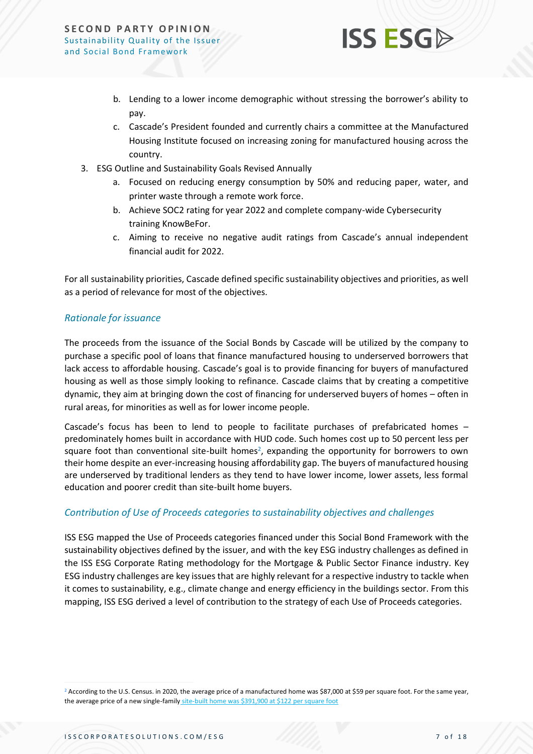

- b. Lending to a lower income demographic without stressing the borrower's ability to pay.
- c. Cascade's President founded and currently chairs a committee at the Manufactured Housing Institute focused on increasing zoning for manufactured housing across the country.
- 3. ESG Outline and Sustainability Goals Revised Annually
	- a. Focused on reducing energy consumption by 50% and reducing paper, water, and printer waste through a remote work force.
	- b. Achieve SOC2 rating for year 2022 and complete company-wide Cybersecurity training KnowBeFor.
	- c. Aiming to receive no negative audit ratings from Cascade's annual independent financial audit for 2022.

For all sustainability priorities, Cascade defined specific sustainability objectives and priorities, as well as a period of relevance for most of the objectives.

#### *Rationale for issuance*

The proceeds from the issuance of the Social Bonds by Cascade will be utilized by the company to purchase a specific pool of loans that finance manufactured housing to underserved borrowers that lack access to affordable housing. Cascade's goal is to provide financing for buyers of manufactured housing as well as those simply looking to refinance. Cascade claims that by creating a competitive dynamic, they aim at bringing down the cost of financing for underserved buyers of homes – often in rural areas, for minorities as well as for lower income people.

Cascade's focus has been to lend to people to facilitate purchases of prefabricated homes – predominately homes built in accordance with HUD code. Such homes cost up to 50 percent less per square foot than conventional site-built homes<sup>2</sup>, expanding the opportunity for borrowers to own their home despite an ever-increasing housing affordability gap. The buyers of manufactured housing are underserved by traditional lenders as they tend to have lower income, lower assets, less formal education and poorer credit than site-built home buyers.

#### *Contribution of Use of Proceeds categories to sustainability objectives and challenges*

ISS ESG mapped the Use of Proceeds categories financed under this Social Bond Framework with the sustainability objectives defined by the issuer, and with the key ESG industry challenges as defined in the ISS ESG Corporate Rating methodology for the Mortgage & Public Sector Finance industry. Key ESG industry challenges are key issues that are highly relevant for a respective industry to tackle when it comes to sustainability, e.g., climate change and energy efficiency in the buildings sector. From this mapping, ISS ESG derived a level of contribution to the strategy of each Use of Proceeds categories.

<sup>&</sup>lt;sup>2</sup> According to the U.S. Census. in 2020, the average price of a manufactured home was \$87,000 at \$59 per square foot. For the same year, the average price of a new single-family [site-built home was \\$391,900 at \\$122 per square foot](https://www.census.gov/data/tables/time-series/econ/mhs/annual-data.html)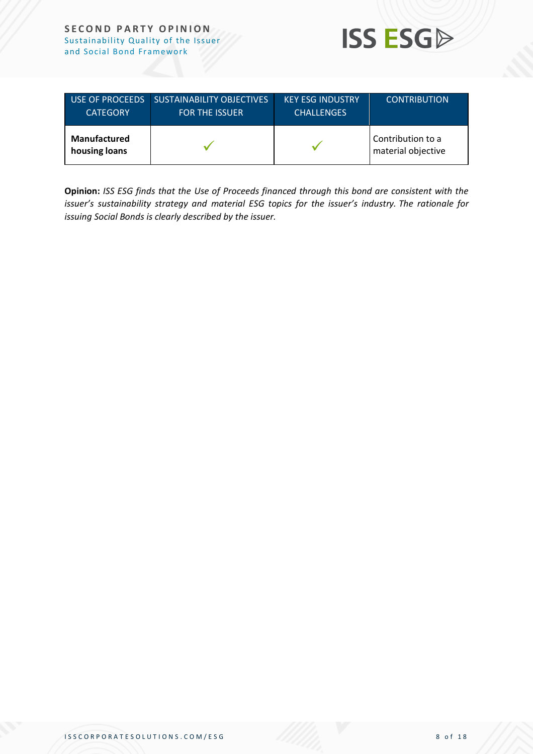

| <b>USE OF PROCEEDS</b>               | <b>SUSTAINABILITY OBJECTIVES</b> | <b>KEY ESG INDUSTRY</b> | <b>CONTRIBUTION</b>                     |
|--------------------------------------|----------------------------------|-------------------------|-----------------------------------------|
| <b>CATEGORY</b>                      | <b>FOR THE ISSUER</b>            | <b>CHALLENGES</b>       |                                         |
| <b>Manufactured</b><br>housing loans |                                  |                         | Contribution to a<br>material objective |

**Opinion:** *ISS ESG finds that the Use of Proceeds financed through this bond are consistent with the issuer's sustainability strategy and material ESG topics for the issuer's industry. The rationale for issuing Social Bonds is clearly described by the issuer.*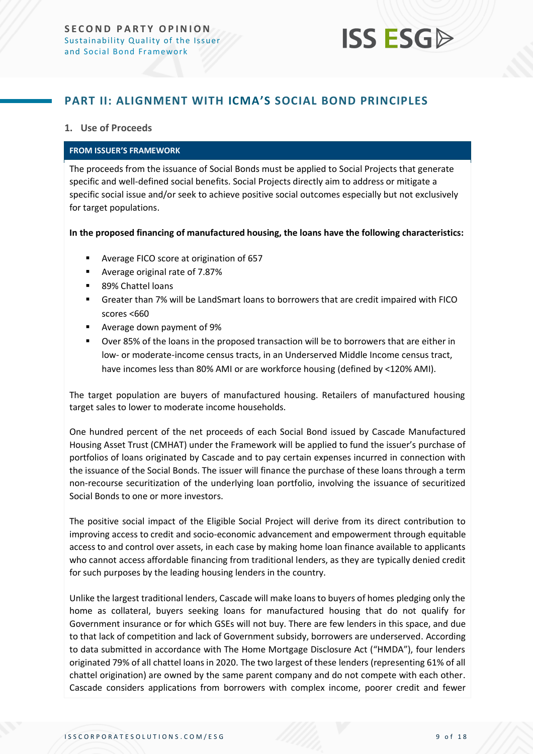### <span id="page-8-0"></span>**PART II: ALIGNMENT WITH ICMA'S SOCIAL BOND PRINCIPLES**

#### **1. Use of Proceeds**

#### **FROM ISSUER'S FRAMEWORK**

The proceeds from the issuance of Social Bonds must be applied to Social Projects that generate specific and well-defined social benefits. Social Projects directly aim to address or mitigate a specific social issue and/or seek to achieve positive social outcomes especially but not exclusively for target populations.

**In the proposed financing of manufactured housing, the loans have the following characteristics:** 

- Average FICO score at origination of 657
- Average original rate of 7.87%
- 89% Chattel loans
- Greater than 7% will be LandSmart loans to borrowers that are credit impaired with FICO scores <660
- Average down payment of 9%
- Over 85% of the loans in the proposed transaction will be to borrowers that are either in low- or moderate-income census tracts, in an Underserved Middle Income census tract, have incomes less than 80% AMI or are workforce housing (defined by <120% AMI).

The target population are buyers of manufactured housing. Retailers of manufactured housing target sales to lower to moderate income households.

One hundred percent of the net proceeds of each Social Bond issued by Cascade Manufactured Housing Asset Trust (CMHAT) under the Framework will be applied to fund the issuer's purchase of portfolios of loans originated by Cascade and to pay certain expenses incurred in connection with the issuance of the Social Bonds. The issuer will finance the purchase of these loans through a term non-recourse securitization of the underlying loan portfolio, involving the issuance of securitized Social Bonds to one or more investors.

The positive social impact of the Eligible Social Project will derive from its direct contribution to improving access to credit and socio-economic advancement and empowerment through equitable access to and control over assets, in each case by making home loan finance available to applicants who cannot access affordable financing from traditional lenders, as they are typically denied credit for such purposes by the leading housing lenders in the country.

Unlike the largest traditional lenders, Cascade will make loans to buyers of homes pledging only the home as collateral, buyers seeking loans for manufactured housing that do not qualify for Government insurance or for which GSEs will not buy. There are few lenders in this space, and due to that lack of competition and lack of Government subsidy, borrowers are underserved. According to data submitted in accordance with The Home Mortgage Disclosure Act ("HMDA"), four lenders originated 79% of all chattel loans in 2020. The two largest of these lenders (representing 61% of all chattel origination) are owned by the same parent company and do not compete with each other. Cascade considers applications from borrowers with complex income, poorer credit and fewer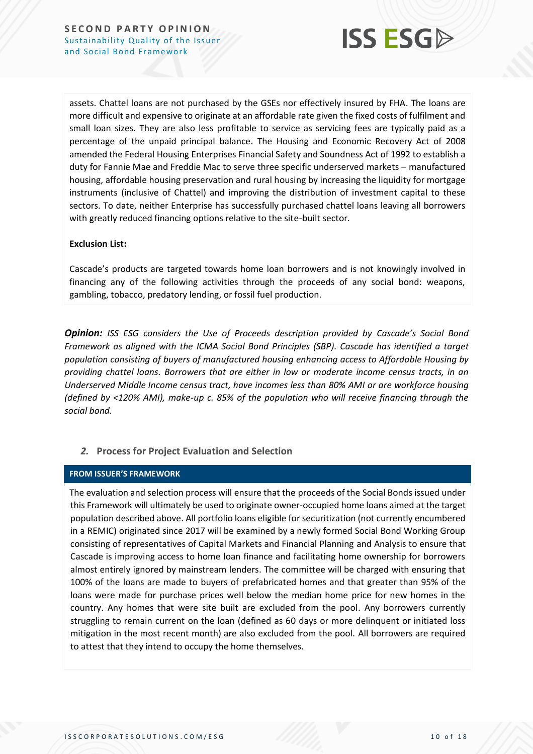

assets. Chattel loans are not purchased by the GSEs nor effectively insured by FHA. The loans are more difficult and expensive to originate at an affordable rate given the fixed costs of fulfilment and small loan sizes. They are also less profitable to service as servicing fees are typically paid as a percentage of the unpaid principal balance. The Housing and Economic Recovery Act of 2008 amended the Federal Housing Enterprises Financial Safety and Soundness Act of 1992 to establish a duty for Fannie Mae and Freddie Mac to serve three specific underserved markets – manufactured housing, affordable housing preservation and rural housing by increasing the liquidity for mortgage instruments (inclusive of Chattel) and improving the distribution of investment capital to these sectors. To date, neither Enterprise has successfully purchased chattel loans leaving all borrowers with greatly reduced financing options relative to the site-built sector.

#### **Exclusion List:**

Cascade's products are targeted towards home loan borrowers and is not knowingly involved in financing any of the following activities through the proceeds of any social bond: weapons, gambling, tobacco, predatory lending, or fossil fuel production.

*Opinion: ISS ESG considers the Use of Proceeds description provided by Cascade's Social Bond Framework as aligned with the ICMA Social Bond Principles (SBP). Cascade has identified a target population consisting of buyers of manufactured housing enhancing access to Affordable Housing by providing chattel loans. Borrowers that are either in low or moderate income census tracts, in an Underserved Middle Income census tract, have incomes less than 80% AMI or are workforce housing (defined by <120% AMI), make-up c. 85% of the population who will receive financing through the social bond.*

#### *2.* **Process for Project Evaluation and Selection**

#### **FROM ISSUER'S FRAMEWORK**

The evaluation and selection process will ensure that the proceeds of the Social Bonds issued under this Framework will ultimately be used to originate owner-occupied home loans aimed at the target population described above. All portfolio loans eligible for securitization (not currently encumbered in a REMIC) originated since 2017 will be examined by a newly formed Social Bond Working Group consisting of representatives of Capital Markets and Financial Planning and Analysis to ensure that Cascade is improving access to home loan finance and facilitating home ownership for borrowers almost entirely ignored by mainstream lenders. The committee will be charged with ensuring that 100% of the loans are made to buyers of prefabricated homes and that greater than 95% of the loans were made for purchase prices well below the median home price for new homes in the country. Any homes that were site built are excluded from the pool. Any borrowers currently struggling to remain current on the loan (defined as 60 days or more delinquent or initiated loss mitigation in the most recent month) are also excluded from the pool. All borrowers are required to attest that they intend to occupy the home themselves.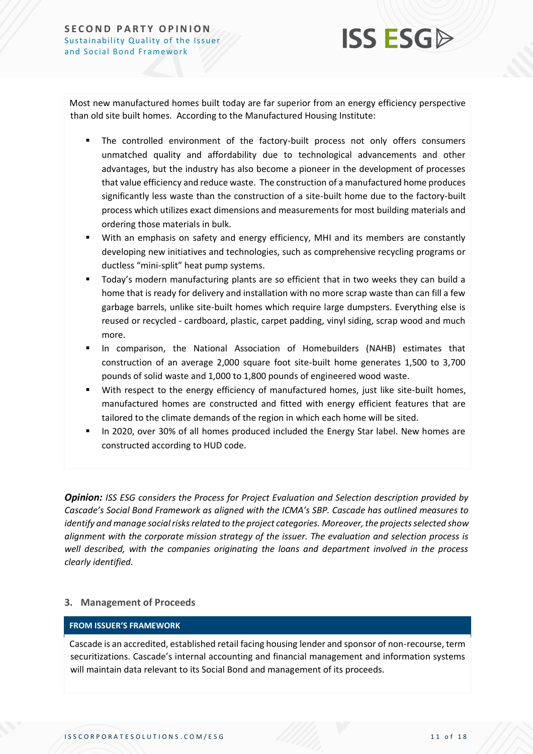

Most new manufactured homes built today are far superior from an energy efficiency perspective than old site built homes. According to the Manufactured Housing Institute:

- The controlled environment of the factory-built process not only offers consumers unmatched quality and affordability due to technological advancements and other advantages, but the industry has also become a pioneer in the development of processes that value efficiency and reduce waste. The construction of a manufactured home produces significantly less waste than the construction of a site-built home due to the factory-built process which utilizes exact dimensions and measurements for most building materials and ordering those materials in bulk.
- With an emphasis on safety and energy efficiency, MHI and its members are constantly developing new initiatives and technologies, such as comprehensive recycling programs or ductless "mini-split" heat pump systems.
- Today's modern manufacturing plants are so efficient that in two weeks they can build a home that is ready for delivery and installation with no more scrap waste than can fill a few garbage barrels, unlike site-built homes which require large dumpsters. Everything else is reused or recycled - cardboard, plastic, carpet padding, vinyl siding, scrap wood and much more.
- In comparison, the National Association of Homebuilders (NAHB) estimates that construction of an average 2,000 square foot site-built home generates 1,500 to 3,700 pounds of solid waste and 1,000 to 1,800 pounds of engineered wood waste.
- With respect to the energy efficiency of manufactured homes, just like site-built homes, manufactured homes are constructed and fitted with energy efficient features that are tailored to the climate demands of the region in which each home will be sited.
- In 2020, over 30% of all homes produced included the Energy Star label. New homes are constructed according to HUD code.

*Opinion: ISS ESG considers the Process for Project Evaluation and Selection description provided by Cascade's Social Bond Framework as aligned with the ICMA's SBP. Cascade has outlined measures to identify and manage social risksrelated to the project categories. Moreover, the projects selected show alignment with the corporate mission strategy of the issuer. The evaluation and selection process is well described, with the companies originating the loans and department involved in the process clearly identified.* 

#### **3. Management of Proceeds**

#### **FROM ISSUER'S FRAMEWORK**

Cascade is an accredited, established retail facing housing lender and sponsor of non-recourse, term securitizations. Cascade's internal accounting and financial management and information systems will maintain data relevant to its Social Bond and management of its proceeds.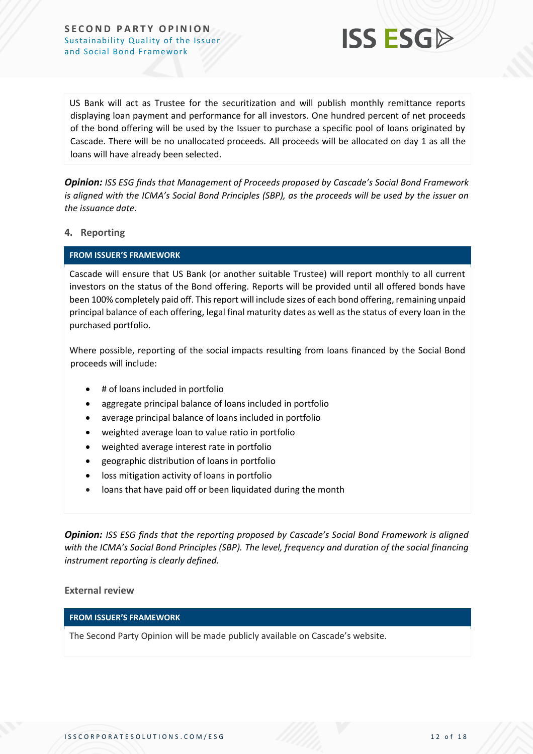

US Bank will act as Trustee for the securitization and will publish monthly remittance reports displaying loan payment and performance for all investors. One hundred percent of net proceeds of the bond offering will be used by the Issuer to purchase a specific pool of loans originated by Cascade. There will be no unallocated proceeds. All proceeds will be allocated on day 1 as all the loans will have already been selected.

*Opinion: ISS ESG finds that Management of Proceeds proposed by Cascade's Social Bond Framework is aligned with the ICMA's Social Bond Principles (SBP), as the proceeds will be used by the issuer on the issuance date.*

#### **4. Reporting**

#### **FROM ISSUER'S FRAMEWORK**

Cascade will ensure that US Bank (or another suitable Trustee) will report monthly to all current investors on the status of the Bond offering. Reports will be provided until all offered bonds have been 100% completely paid off. This report will include sizes of each bond offering, remaining unpaid principal balance of each offering, legal final maturity dates as well as the status of every loan in the purchased portfolio.

Where possible, reporting of the social impacts resulting from loans financed by the Social Bond proceeds will include:

- # of loans included in portfolio
- aggregate principal balance of loans included in portfolio
- average principal balance of loans included in portfolio
- weighted average loan to value ratio in portfolio
- weighted average interest rate in portfolio
- geographic distribution of loans in portfolio
- loss mitigation activity of loans in portfolio
- loans that have paid off or been liquidated during the month

*Opinion: ISS ESG finds that the reporting proposed by Cascade's Social Bond Framework is aligned with the ICMA's Social Bond Principles (SBP). The level, frequency and duration of the social financing instrument reporting is clearly defined.*

#### **External review**

#### **FROM ISSUER'S FRAMEWORK**

The Second Party Opinion will be made publicly available on Cascade's website.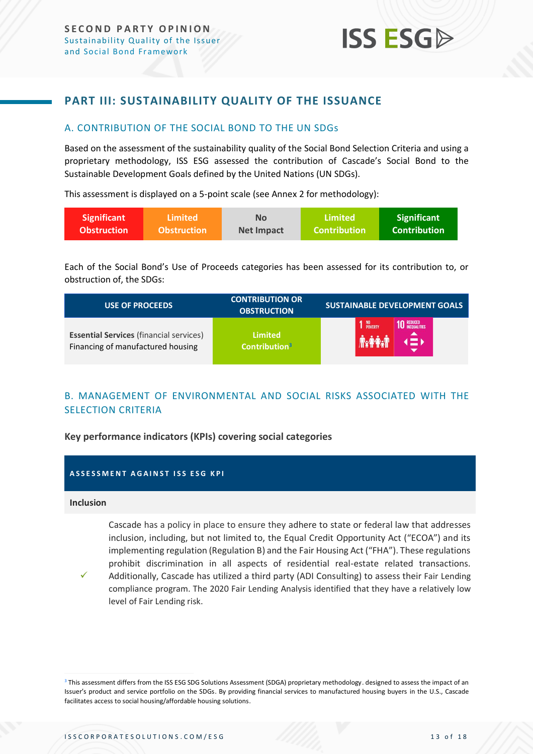### <span id="page-12-0"></span>**PART III: SUSTAINABILITY QUALITY OF THE ISSUANCE**

#### <span id="page-12-1"></span>A. CONTRIBUTION OF THE SOCIAL BOND TO THE UN SDGs

Based on the assessment of the sustainability quality of the Social Bond Selection Criteria and using a proprietary methodology, ISS ESG assessed the contribution of Cascade's Social Bond to the Sustainable Development Goals defined by the United Nations (UN SDGs).

This assessment is displayed on a 5-point scale (see Annex 2 for methodology):

| <b>Significant</b> | Limited            | <b>No</b>         | Limited             | Significant         |
|--------------------|--------------------|-------------------|---------------------|---------------------|
| <b>Obstruction</b> | <b>Obstruction</b> | <b>Net Impact</b> | <b>Contribution</b> | <b>Contribution</b> |

Each of the Social Bond's Use of Proceeds categories has been assessed for its contribution to, or obstruction of, the SDGs:

| <b>USE OF PROCEEDS</b>                         | <b>CONTRIBUTION OR</b><br><b>OBSTRUCTION</b> | <b>SUSTAINABLE DEVELOPMENT GOALS</b>        |
|------------------------------------------------|----------------------------------------------|---------------------------------------------|
| <b>Essential Services (financial services)</b> | Limited                                      | <b>10 REDUCED</b><br><b>10 INEQUALITIES</b> |
| Financing of manufactured housing              | Contribution <sup>3</sup>                    | NO<br>Poverty                               |

### <span id="page-12-2"></span>B. MANAGEMENT OF ENVIRONMENTAL AND SOCIAL RISKS ASSOCIATED WITH THE SELECTION CRITERIA

#### **Key performance indicators (KPIs) covering social categories**

#### **ASSESSMENT AGAINST ISS ESG KPI**

#### **Inclusion**

Cascade has a policy in place to ensure they adhere to state or federal law that addresses inclusion, including, but not limited to, the Equal Credit Opportunity Act ("ECOA") and its implementing regulation (Regulation B) and the Fair Housing Act ("FHA"). These regulations prohibit discrimination in all aspects of residential real-estate related transactions. Additionally, Cascade has utilized a third party (ADI Consulting) to assess their Fair Lending

✓ compliance program. The 2020 Fair Lending Analysis identified that they have a relatively low level of Fair Lending risk.

<sup>&</sup>lt;sup>3</sup> This assessment differs from the ISS ESG SDG Solutions Assessment (SDGA) proprietary methodology. designed to assess the impact of an Issuer's product and service portfolio on the SDGs. By providing financial services to manufactured housing buyers in the U.S., Cascade facilitates access to social housing/affordable housing solutions.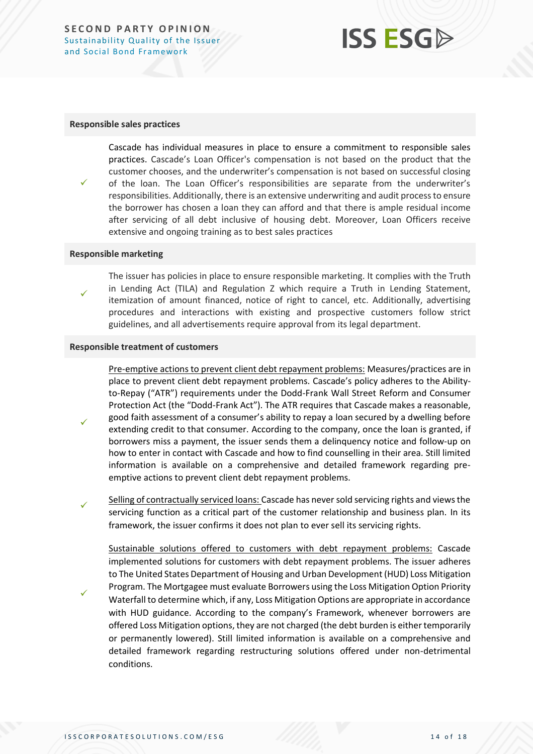## **ISS ESG**

#### **Responsible sales practices**

Cascade has individual measures in place to ensure a commitment to responsible sales practices. Cascade's Loan Officer's compensation is not based on the product that the customer chooses, and the underwriter's compensation is not based on successful closing of the loan. The Loan Officer's responsibilities are separate from the underwriter's responsibilities. Additionally, there is an extensive underwriting and audit process to ensure the borrower has chosen a loan they can afford and that there is ample residual income after servicing of all debt inclusive of housing debt. Moreover, Loan Officers receive extensive and ongoing training as to best sales practices

#### **Responsible marketing**

✓

✓

✓

✓

The issuer has policies in place to ensure responsible marketing. It complies with the Truth in Lending Act (TILA) and Regulation Z which require a Truth in Lending Statement, itemization of amount financed, notice of right to cancel, etc. Additionally, advertising procedures and interactions with existing and prospective customers follow strict guidelines, and all advertisements require approval from its legal department.

#### **Responsible treatment of customers**

Pre-emptive actions to prevent client debt repayment problems: Measures/practices are in place to prevent client debt repayment problems. Cascade's policy adheres to the Abilityto-Repay ("ATR") requirements under the Dodd-Frank Wall Street Reform and Consumer Protection Act (the "Dodd-Frank Act"). The ATR requires that Cascade makes a reasonable, good faith assessment of a consumer's ability to repay a loan secured by a dwelling before extending credit to that consumer. According to the company, once the loan is granted, if borrowers miss a payment, the issuer sends them a delinquency notice and follow-up on how to enter in contact with Cascade and how to find counselling in their area. Still limited information is available on a comprehensive and detailed framework regarding preemptive actions to prevent client debt repayment problems.

✓ Selling of contractually serviced loans: Cascade has never sold servicing rights and views the servicing function as a critical part of the customer relationship and business plan. In its framework, the issuer confirms it does not plan to ever sell its servicing rights.

Sustainable solutions offered to customers with debt repayment problems: Cascade implemented solutions for customers with debt repayment problems. The issuer adheres to The United States Department of Housing and Urban Development (HUD) Loss Mitigation Program. The Mortgagee must evaluate Borrowers using the Loss Mitigation Option Priority Waterfall to determine which, if any, Loss Mitigation Options are appropriate in accordance with HUD guidance. According to the company's Framework, whenever borrowers are offered Loss Mitigation options, they are not charged (the debt burden is either temporarily or permanently lowered). Still limited information is available on a comprehensive and detailed framework regarding restructuring solutions offered under non-detrimental conditions.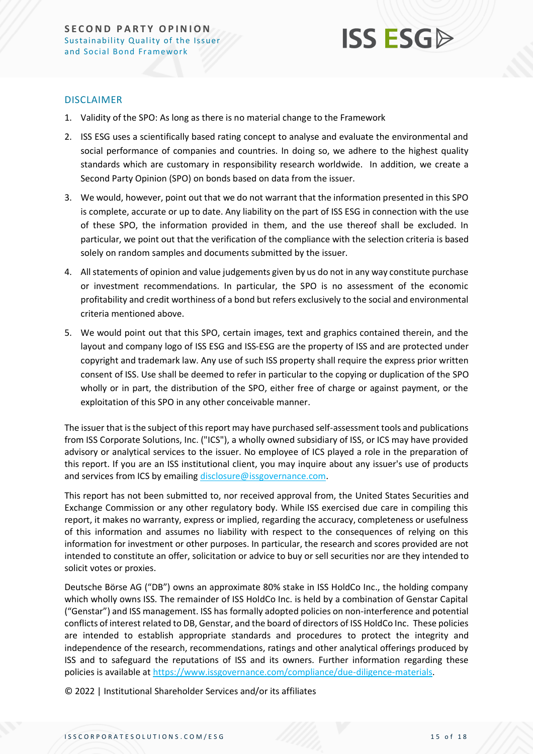

#### DISCLAIMER

- 1. Validity of the SPO: As long as there is no material change to the Framework
- 2. ISS ESG uses a scientifically based rating concept to analyse and evaluate the environmental and social performance of companies and countries. In doing so, we adhere to the highest quality standards which are customary in responsibility research worldwide. In addition, we create a Second Party Opinion (SPO) on bonds based on data from the issuer.
- 3. We would, however, point out that we do not warrant that the information presented in this SPO is complete, accurate or up to date. Any liability on the part of ISS ESG in connection with the use of these SPO, the information provided in them, and the use thereof shall be excluded. In particular, we point out that the verification of the compliance with the selection criteria is based solely on random samples and documents submitted by the issuer.
- 4. All statements of opinion and value judgements given by us do not in any way constitute purchase or investment recommendations. In particular, the SPO is no assessment of the economic profitability and credit worthiness of a bond but refers exclusively to the social and environmental criteria mentioned above.
- 5. We would point out that this SPO, certain images, text and graphics contained therein, and the layout and company logo of ISS ESG and ISS-ESG are the property of ISS and are protected under copyright and trademark law. Any use of such ISS property shall require the express prior written consent of ISS. Use shall be deemed to refer in particular to the copying or duplication of the SPO wholly or in part, the distribution of the SPO, either free of charge or against payment, or the exploitation of this SPO in any other conceivable manner.

The issuer that is the subject of this report may have purchased self-assessment tools and publications from ISS Corporate Solutions, Inc. ("ICS"), a wholly owned subsidiary of ISS, or ICS may have provided advisory or analytical services to the issuer. No employee of ICS played a role in the preparation of this report. If you are an ISS institutional client, you may inquire about any issuer's use of products and services from ICS by emailing [disclosure@issgovernance.com.](mailto:disclosure@issgovernance.com)

This report has not been submitted to, nor received approval from, the United States Securities and Exchange Commission or any other regulatory body. While ISS exercised due care in compiling this report, it makes no warranty, express or implied, regarding the accuracy, completeness or usefulness of this information and assumes no liability with respect to the consequences of relying on this information for investment or other purposes. In particular, the research and scores provided are not intended to constitute an offer, solicitation or advice to buy or sell securities nor are they intended to solicit votes or proxies.

Deutsche Börse AG ("DB") owns an approximate 80% stake in ISS HoldCo Inc., the holding company which wholly owns ISS. The remainder of ISS HoldCo Inc. is held by a combination of Genstar Capital ("Genstar") and ISS management. ISS has formally adopted policies on non-interference and potential conflicts of interest related to DB, Genstar, and the board of directors of ISS HoldCo Inc. These policies are intended to establish appropriate standards and procedures to protect the integrity and independence of the research, recommendations, ratings and other analytical offerings produced by ISS and to safeguard the reputations of ISS and its owners. Further information regarding these policies is available at [https://www.issgovernance.com/compliance/due-diligence-materials.](https://www.issgovernance.com/compliance/due-diligence-materials)

© 2022 | Institutional Shareholder Services and/or its affiliates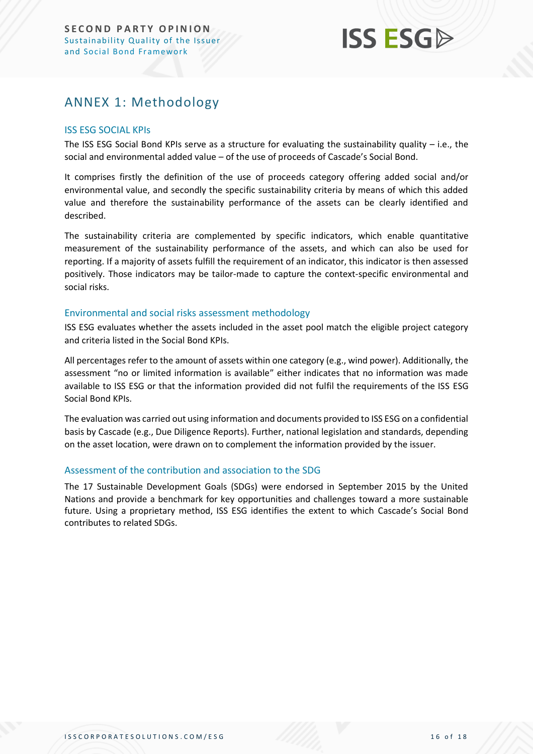## <span id="page-15-0"></span>ANNEX 1: Methodology

#### ISS ESG SOCIAL KPIs

The ISS ESG Social Bond KPIs serve as a structure for evaluating the sustainability quality – i.e., the social and environmental added value – of the use of proceeds of Cascade's Social Bond.

It comprises firstly the definition of the use of proceeds category offering added social and/or environmental value, and secondly the specific sustainability criteria by means of which this added value and therefore the sustainability performance of the assets can be clearly identified and described.

The sustainability criteria are complemented by specific indicators, which enable quantitative measurement of the sustainability performance of the assets, and which can also be used for reporting. If a majority of assets fulfill the requirement of an indicator, this indicator is then assessed positively. Those indicators may be tailor-made to capture the context-specific environmental and social risks.

#### Environmental and social risks assessment methodology

ISS ESG evaluates whether the assets included in the asset pool match the eligible project category and criteria listed in the Social Bond KPIs.

All percentages refer to the amount of assets within one category (e.g., wind power). Additionally, the assessment "no or limited information is available" either indicates that no information was made available to ISS ESG or that the information provided did not fulfil the requirements of the ISS ESG Social Bond KPIs.

The evaluation was carried out using information and documents provided to ISS ESG on a confidential basis by Cascade (e.g., Due Diligence Reports). Further, national legislation and standards, depending on the asset location, were drawn on to complement the information provided by the issuer.

#### Assessment of the contribution and association to the SDG

The 17 Sustainable Development Goals (SDGs) were endorsed in September 2015 by the United Nations and provide a benchmark for key opportunities and challenges toward a more sustainable future. Using a proprietary method, ISS ESG identifies the extent to which Cascade's Social Bond contributes to related SDGs.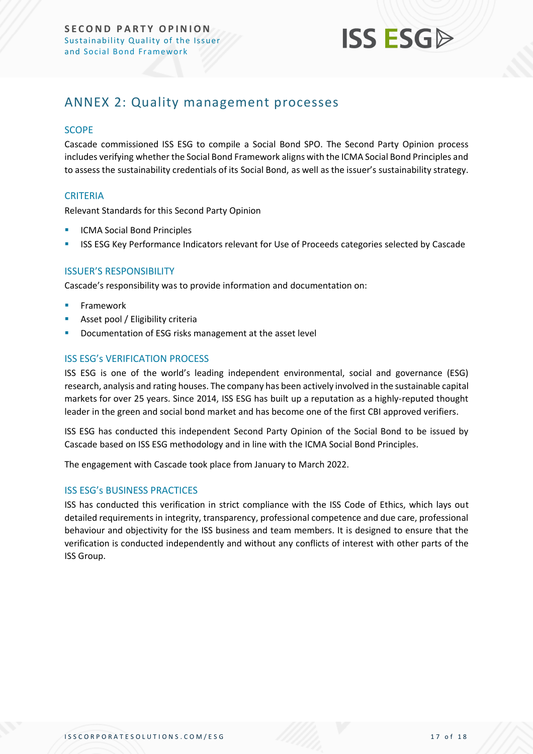

## <span id="page-16-0"></span>ANNEX 2: Quality management processes

#### **SCOPE**

Cascade commissioned ISS ESG to compile a Social Bond SPO. The Second Party Opinion process includes verifying whether the Social Bond Framework aligns with the ICMA Social Bond Principles and to assess the sustainability credentials of its Social Bond, as well as the issuer's sustainability strategy.

#### **CRITERIA**

Relevant Standards for this Second Party Opinion

- **ICMA Social Bond Principles**
- ISS ESG Key Performance Indicators relevant for Use of Proceeds categories selected by Cascade

#### ISSUER'S RESPONSIBILITY

Cascade's responsibility was to provide information and documentation on:

- **Framework**
- Asset pool / Eligibility criteria
- Documentation of ESG risks management at the asset level

#### ISS ESG's VERIFICATION PROCESS

ISS ESG is one of the world's leading independent environmental, social and governance (ESG) research, analysis and rating houses. The company has been actively involved in the sustainable capital markets for over 25 years. Since 2014, ISS ESG has built up a reputation as a highly-reputed thought leader in the green and social bond market and has become one of the first CBI approved verifiers.

ISS ESG has conducted this independent Second Party Opinion of the Social Bond to be issued by Cascade based on ISS ESG methodology and in line with the ICMA Social Bond Principles.

The engagement with Cascade took place from January to March 2022.

#### ISS ESG's BUSINESS PRACTICES

ISS has conducted this verification in strict compliance with the ISS Code of Ethics, which lays out detailed requirements in integrity, transparency, professional competence and due care, professional behaviour and objectivity for the ISS business and team members. It is designed to ensure that the verification is conducted independently and without any conflicts of interest with other parts of the ISS Group.